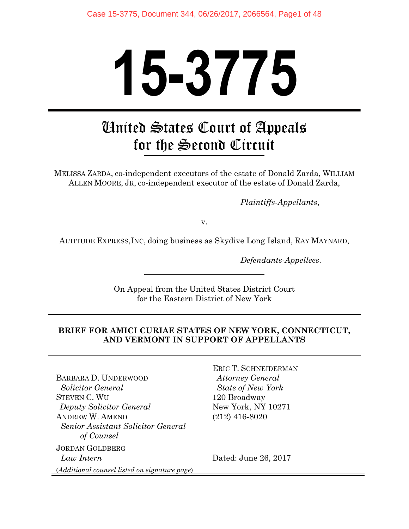# **15-3775**

# United States Court of Appeals for the Second Circuit

MELISSA ZARDA, co-independent executors of the estate of Donald Zarda, WILLIAM ALLEN MOORE, JR, co-independent executor of the estate of Donald Zarda,

*Plaintiffs-Appellants*,

v.

ALTITUDE EXPRESS,INC, doing business as Skydive Long Island, RAY MAYNARD,

*Defendants-Appellees*.

On Appeal from the United States District Court for the Eastern District of New York

#### **BRIEF FOR AMICI CURIAE STATES OF NEW YORK, CONNECTICUT, AND VERMONT IN SUPPORT OF APPELLANTS**

BARBARA D. UNDERWOOD *Solicitor General* STEVEN C. WU *Deputy Solicitor General*  ANDREW W. AMEND  *Senior Assistant Solicitor General of Counsel* JORDAN GOLDBERG *Law Intern* (*Additional counsel listed on signature page*)

<u>—</u>

ERIC T. SCHNEIDERMAN  *Attorney General State of New York* 120 Broadway New York, NY 10271 (212) 416-8020

Dated: June 26, 2017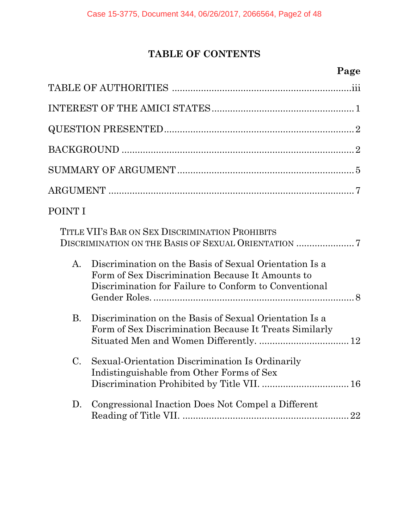# **TABLE OF CONTENTS**

| POINT I         |                                                                                                                                                                     |
|-----------------|---------------------------------------------------------------------------------------------------------------------------------------------------------------------|
|                 | TITLE VII'S BAR ON SEX DISCRIMINATION PROHIBITS                                                                                                                     |
| $A_{\cdot}$     | Discrimination on the Basis of Sexual Orientation Is a<br>Form of Sex Discrimination Because It Amounts to<br>Discrimination for Failure to Conform to Conventional |
| <b>B.</b>       | Discrimination on the Basis of Sexual Orientation Is a<br>Form of Sex Discrimination Because It Treats Similarly                                                    |
| $\mathcal{C}$ . | Sexual-Orientation Discrimination Is Ordinarily<br>Indistinguishable from Other Forms of Sex                                                                        |
| D.              | Congressional Inaction Does Not Compel a Different                                                                                                                  |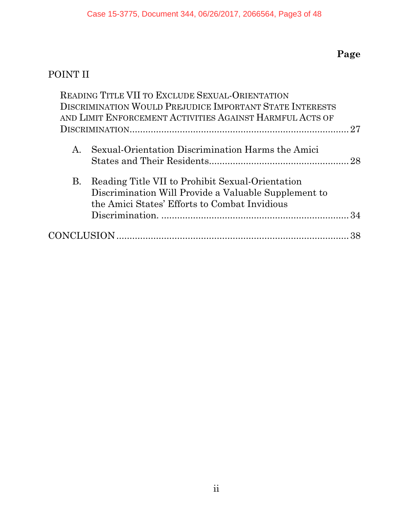# **Page**

# [POINT II](#page-35-0)

|              | READING TITLE VII TO EXCLUDE SEXUAL-ORIENTATION          |     |
|--------------|----------------------------------------------------------|-----|
|              | DISCRIMINATION WOULD PREJUDICE IMPORTANT STATE INTERESTS |     |
|              | AND LIMIT ENFORCEMENT ACTIVITIES AGAINST HARMFUL ACTS OF |     |
|              |                                                          |     |
|              |                                                          |     |
| $\mathbf{A}$ | Sexual-Orientation Discrimination Harms the Amici        |     |
|              |                                                          |     |
| В.           | Reading Title VII to Prohibit Sexual Orientation         |     |
|              | Discrimination Will Provide a Valuable Supplement to     |     |
|              | the Amici States' Efforts to Combat Invidious            |     |
|              |                                                          | -34 |
|              |                                                          |     |
|              |                                                          |     |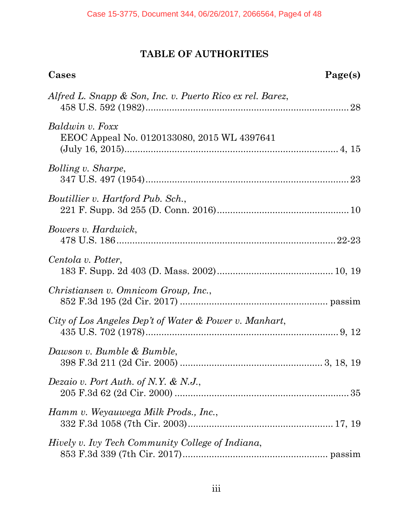# **TABLE OF AUTHORITIES**

| Cases                                                          | Page(s) |
|----------------------------------------------------------------|---------|
| Alfred L. Snapp & Son, Inc. v. Puerto Rico ex rel. Barez,      |         |
| Baldwin v. Foxx<br>EEOC Appeal No. 0120133080, 2015 WL 4397641 |         |
| Bolling v. Sharpe,                                             |         |
| Boutillier v. Hartford Pub. Sch.,                              |         |
| Bowers v. Hardwick,                                            |         |
| Centola v. Potter,                                             |         |
| Christiansen v. Omnicom Group, Inc.,                           |         |
| City of Los Angeles Dep't of Water & Power v. Manhart,         |         |
| Dawson v. Bumble & Bumble,                                     |         |
| Dezaio v. Port Auth. of N.Y. & N.J.,                           |         |
| Hamm v. Weyauwega Milk Prods., Inc.,                           |         |
| <i>Hively v. Ivy Tech Community College of Indiana,</i>        |         |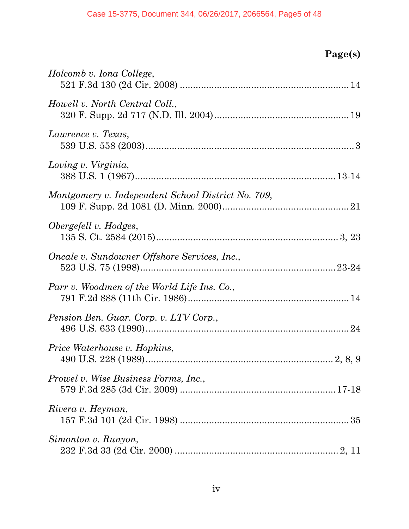| Holcomb v. Iona College,                           |
|----------------------------------------------------|
| Howell v. North Central Coll.,                     |
| Lawrence v. Texas,                                 |
| Loving v. Virginia,                                |
| Montgomery v. Independent School District No. 709, |
| Obergefell v. Hodges,                              |
| Oncale v. Sundowner Offshore Services, Inc.,       |
| Parr v. Woodmen of the World Life Ins. Co.,        |
| Pension Ben. Guar. Corp. v. LTV Corp.,             |
| Price Waterhouse v. Hopkins,                       |
| <i>Prowel v. Wise Business Forms, Inc.,</i>        |
| Rivera v. Heyman,                                  |
| Simonton v. Runyon,                                |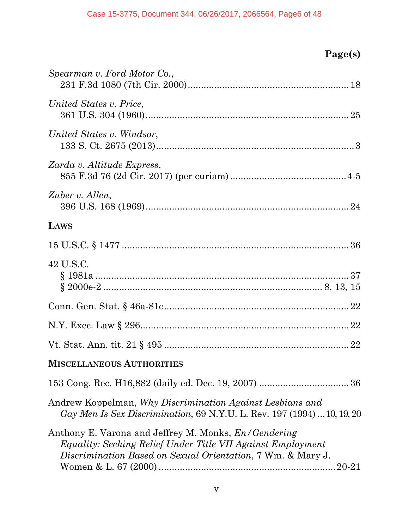| Spearman v. Ford Motor Co.,                                                                                                                                                               |
|-------------------------------------------------------------------------------------------------------------------------------------------------------------------------------------------|
| United States v. Price,                                                                                                                                                                   |
| United States v. Windsor,                                                                                                                                                                 |
| Zarda v. Altitude Express,                                                                                                                                                                |
| Zuber v. Allen,                                                                                                                                                                           |
| LAWS                                                                                                                                                                                      |
|                                                                                                                                                                                           |
| 42 U.S.C.                                                                                                                                                                                 |
|                                                                                                                                                                                           |
|                                                                                                                                                                                           |
|                                                                                                                                                                                           |
| <b>MISCELLANEOUS AUTHORITIES</b>                                                                                                                                                          |
|                                                                                                                                                                                           |
| Andrew Koppelman, Why Discrimination Against Lesbians and<br>Gay Men Is Sex Discrimination, 69 N.Y.U. L. Rev. 197 (1994)  10, 19, 20                                                      |
| Anthony E. Varona and Jeffrey M. Monks, <i>En/Gendering</i><br>Equality: Seeking Relief Under Title VII Against Employment<br>Discrimination Based on Sexual Orientation, 7 Wm. & Mary J. |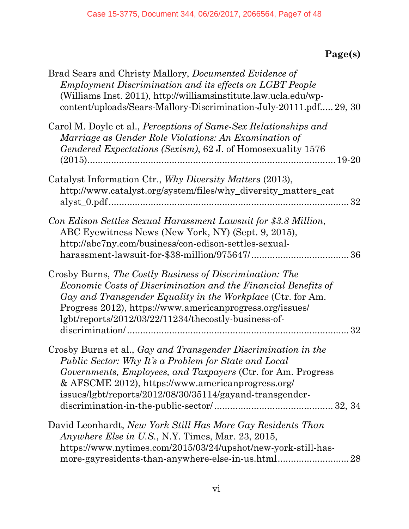| Brad Sears and Christy Mallory, <i>Documented Evidence of</i><br><i>Employment Discrimination and its effects on LGBT People</i><br>(Williams Inst. 2011), http://williamsinstitute.law.ucla.edu/wp-<br>content/uploads/Sears-Mallory-Discrimination-July-20111.pdf 29, 30                                          |
|---------------------------------------------------------------------------------------------------------------------------------------------------------------------------------------------------------------------------------------------------------------------------------------------------------------------|
| Carol M. Doyle et al., Perceptions of Same-Sex Relationships and<br>Marriage as Gender Role Violations: An Examination of<br>Gendered Expectations (Sexism), 62 J. of Homosexuality 1576                                                                                                                            |
| Catalyst Information Ctr., Why Diversity Matters (2013),<br>http://www.catalyst.org/system/files/why_diversity_matters_cat<br>32                                                                                                                                                                                    |
| Con Edison Settles Sexual Harassment Lawsuit for \$3.8 Million,<br>ABC Eyewitness News (New York, NY) (Sept. 9, 2015),<br>http://abc7ny.com/business/con-edison-settles-sexual-<br>36                                                                                                                               |
| Crosby Burns, The Costly Business of Discrimination: The<br>Economic Costs of Discrimination and the Financial Benefits of<br>Gay and Transgender Equality in the Workplace (Ctr. for Am.<br>Progress 2012), https://www.americanprogress.org/issues/<br>lgbt/reports/2012/03/22/11234/thecostly-business-of-<br>32 |
| Crosby Burns et al., Gay and Transgender Discrimination in the<br><i>Public Sector: Why It's a Problem for State and Local</i><br>Governments, Employees, and Taxpayers (Ctr. for Am. Progress<br>& AFSCME 2012), https://www.americanprogress.org/<br>issues/lgbt/reports/2012/08/30/35114/gayand-transgender-     |
| David Leonhardt, New York Still Has More Gay Residents Than<br><i>Anywhere Else in U.S.</i> , N.Y. Times, Mar. 23, 2015,<br>https://www.nytimes.com/2015/03/24/upshot/new-york-still-has-<br>more-gayresidents-than-anywhere-else-in-us.html<br>28                                                                  |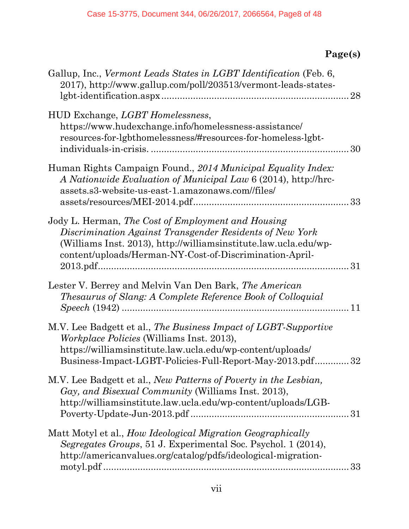| Gallup, Inc., Vermont Leads States in LGBT Identification (Feb. 6,<br>2017), http://www.gallup.com/poll/203513/vermont-leads-states-                                                                                                           |
|------------------------------------------------------------------------------------------------------------------------------------------------------------------------------------------------------------------------------------------------|
| HUD Exchange, <i>LGBT Homelessness</i> ,<br>https://www.hudexchange.info/homelessness-assistance/<br>resources-for-lgbthomelessness/#resources-for-homeless-lgbt-<br>30                                                                        |
| Human Rights Campaign Found., 2014 Municipal Equality Index:<br>A Nationwide Evaluation of Municipal Law 6 (2014), http://hrc-<br>assets.s3-website-us-east-1.amazonaws.com//files/                                                            |
| Jody L. Herman, The Cost of Employment and Housing<br>Discrimination Against Transgender Residents of New York<br>(Williams Inst. 2013), http://williamsinstitute.law.ucla.edu/wp-<br>content/uploads/Herman-NY-Cost-of-Discrimination-April-  |
| Lester V. Berrey and Melvin Van Den Bark, The American<br><i>Thesaurus of Slang: A Complete Reference Book of Colloquial</i>                                                                                                                   |
| M.V. Lee Badgett et al., The Business Impact of LGBT-Supportive<br><i>Workplace Policies</i> (Williams Inst. 2013),<br>https://williamsinstitute.law.ucla.edu/wp-content/uploads/<br>Business-Impact-LGBT-Policies-Full-Report-May-2013.pdf 32 |
| M.V. Lee Badgett et al., New Patterns of Poverty in the Lesbian,<br>Gay, and Bisexual Community (Williams Inst. 2013),<br>http://williamsinstitute.law.ucla.edu/wp-content/uploads/LGB-                                                        |
| Matt Motyl et al., How Ideological Migration Geographically<br><i>Segregates Groups</i> , 51 J. Experimental Soc. Psychol. 1 (2014),<br>http://americanvalues.org/catalog/pdfs/ideological-migration-<br>33                                    |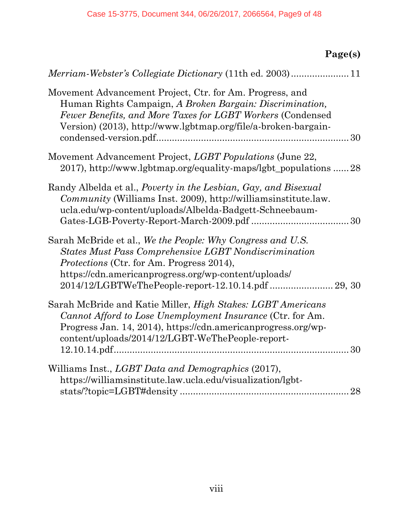| Movement Advancement Project, Ctr. for Am. Progress, and<br>Human Rights Campaign, A Broken Bargain: Discrimination,<br>Fewer Benefits, and More Taxes for LGBT Workers (Condensed<br>Version) (2013), http://www.lgbtmap.org/file/a-broken-bargain-                                          |    |
|-----------------------------------------------------------------------------------------------------------------------------------------------------------------------------------------------------------------------------------------------------------------------------------------------|----|
| Movement Advancement Project, LGBT Populations (June 22,<br>2017), http://www.lgbtmap.org/equality-maps/lgbt_populations  28                                                                                                                                                                  |    |
| Randy Albelda et al., <i>Poverty in the Lesbian</i> , <i>Gay</i> , and <i>Bisexual</i><br><i>Community</i> (Williams Inst. 2009), http://williamsinstitute.law.<br>ucla.edu/wp-content/uploads/Albelda-Badgett-Schneebaum-                                                                    |    |
| Sarah McBride et al., We the People: Why Congress and U.S.<br><b>States Must Pass Comprehensive LGBT Nondiscrimination</b><br><i>Protections</i> (Ctr. for Am. Progress 2014),<br>https://cdn.americanprogress.org/wp-content/uploads/<br>2014/12/LGBTWeThePeople-report-12.10.14.pdf  29, 30 |    |
| Sarah McBride and Katie Miller, <i>High Stakes: LGBT Americans</i><br>Cannot Afford to Lose Unemployment Insurance (Ctr. for Am.<br>Progress Jan. 14, 2014), https://cdn.americanprogress.org/wp-<br>content/uploads/2014/12/LGBT-WeThePeople-report-                                         | 30 |
| Williams Inst., <i>LGBT Data and Demographics</i> (2017),<br>https://williamsinstitute.law.ucla.edu/visualization/lgbt-                                                                                                                                                                       | 28 |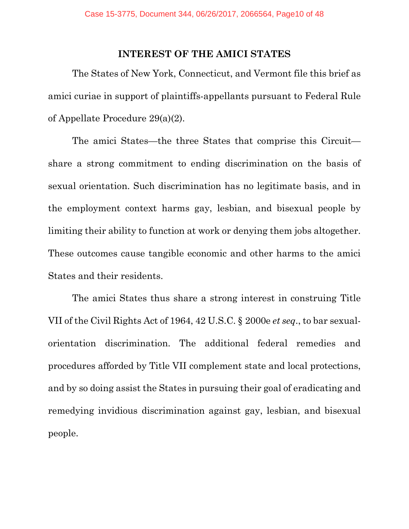#### **INTEREST OF THE AMICI STATES**

<span id="page-9-0"></span>The States of New York, Connecticut, and Vermont file this brief as amici curiae in support of plaintiffs-appellants pursuant to Federal Rule of Appellate Procedure 29(a)(2).

The amici States—the three States that comprise this Circuit share a strong commitment to ending discrimination on the basis of sexual orientation. Such discrimination has no legitimate basis, and in the employment context harms gay, lesbian, and bisexual people by limiting their ability to function at work or denying them jobs altogether. These outcomes cause tangible economic and other harms to the amici States and their residents.

The amici States thus share a strong interest in construing Title VII of the Civil Rights Act of 1964, 42 U.S.C. § 2000e *et seq*., to bar sexualorientation discrimination. The additional federal remedies and procedures afforded by Title VII complement state and local protections, and by so doing assist the States in pursuing their goal of eradicating and remedying invidious discrimination against gay, lesbian, and bisexual people.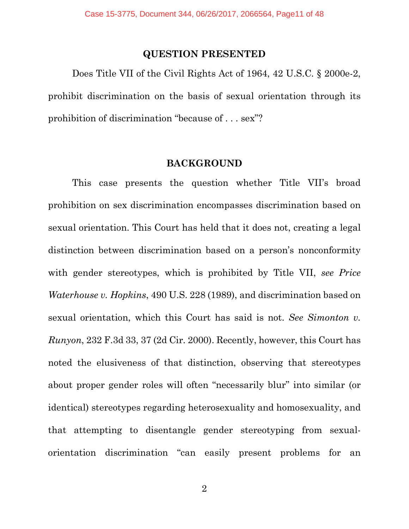#### **QUESTION PRESENTED**

<span id="page-10-0"></span>Does Title VII of the Civil Rights Act of 1964, 42 U.S.C. § 2000e-2, prohibit discrimination on the basis of sexual orientation through its prohibition of discrimination "because of . . . sex"?

#### <span id="page-10-3"></span><span id="page-10-2"></span>**BACKGROUND**

<span id="page-10-1"></span>This case presents the question whether Title VII's broad prohibition on sex discrimination encompasses discrimination based on sexual orientation. This Court has held that it does not, creating a legal distinction between discrimination based on a person's nonconformity with gender stereotypes, which is prohibited by Title VII, *see Price Waterhouse v. Hopkins*, 490 U.S. 228 (1989), and discrimination based on sexual orientation, which this Court has said is not. *See Simonton v. Runyon*, 232 F.3d 33, 37 (2d Cir. 2000). Recently, however, this Court has noted the elusiveness of that distinction, observing that stereotypes about proper gender roles will often "necessarily blur" into similar (or identical) stereotypes regarding heterosexuality and homosexuality, and that attempting to disentangle gender stereotyping from sexualorientation discrimination "can easily present problems for an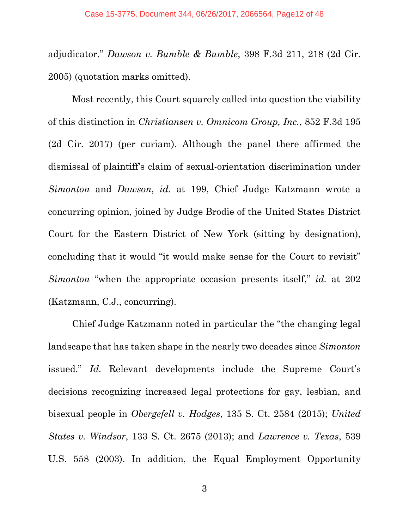<span id="page-11-1"></span>adjudicator." *Dawson v. Bumble & Bumble*, 398 F.3d 211, 218 (2d Cir. 2005) (quotation marks omitted).

<span id="page-11-0"></span>Most recently, this Court squarely called into question the viability of this distinction in *Christiansen v. Omnicom Group, Inc.*, 852 F.3d 195 (2d Cir. 2017) (per curiam). Although the panel there affirmed the dismissal of plaintiff's claim of sexual-orientation discrimination under *Simonton* and *Dawson*, *id.* at 199, Chief Judge Katzmann wrote a concurring opinion, joined by Judge Brodie of the United States District Court for the Eastern District of New York (sitting by designation), concluding that it would "it would make sense for the Court to revisit" *Simonton* "when the appropriate occasion presents itself," *id.* at 202 (Katzmann, C.J., concurring).

<span id="page-11-4"></span><span id="page-11-3"></span><span id="page-11-2"></span>Chief Judge Katzmann noted in particular the "the changing legal landscape that has taken shape in the nearly two decades since *Simonton* issued." *Id.* Relevant developments include the Supreme Court's decisions recognizing increased legal protections for gay, lesbian, and bisexual people in *Obergefell v. Hodges*, 135 S. Ct. 2584 (2015); *United States v. Windsor*, 133 S. Ct. 2675 (2013); and *Lawrence v. Texas*, 539 U.S. 558 (2003). In addition, the Equal Employment Opportunity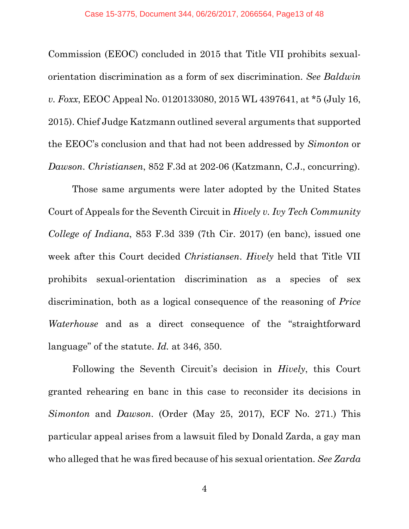<span id="page-12-0"></span>Commission (EEOC) concluded in 2015 that Title VII prohibits sexualorientation discrimination as a form of sex discrimination. *See Baldwin v. Foxx*, EEOC Appeal No. 0120133080, 2015 WL 4397641, at \*5 (July 16, 2015). Chief Judge Katzmann outlined several arguments that supported the EEOC's conclusion and that had not been addressed by *Simonton* or *Dawson*. *Christiansen*, 852 F.3d at 202-06 (Katzmann, C.J., concurring).

<span id="page-12-1"></span>Those same arguments were later adopted by the United States Court of Appeals for the Seventh Circuit in *Hively v. Ivy Tech Community College of Indiana*, 853 F.3d 339 (7th Cir. 2017) (en banc), issued one week after this Court decided *Christiansen*. *Hively* held that Title VII prohibits sexual-orientation discrimination as a species of sex discrimination, both as a logical consequence of the reasoning of *Price Waterhouse* and as a direct consequence of the "straightforward language" of the statute. *Id.* at 346, 350.

<span id="page-12-2"></span>Following the Seventh Circuit's decision in *Hively*, this Court granted rehearing en banc in this case to reconsider its decisions in *Simonton* and *Dawson*. (Order (May 25, 2017), ECF No. 271.) This particular appeal arises from a lawsuit filed by Donald Zarda, a gay man who alleged that he was fired because of his sexual orientation. *See Zarda*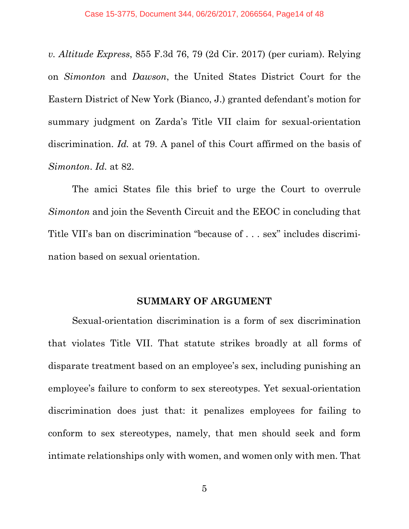*v. Altitude Express*, 855 F.3d 76, 79 (2d Cir. 2017) (per curiam). Relying on *Simonton* and *Dawson*, the United States District Court for the Eastern District of New York (Bianco, J.) granted defendant's motion for summary judgment on Zarda's Title VII claim for sexual-orientation discrimination. *Id.* at 79. A panel of this Court affirmed on the basis of *Simonton*. *Id.* at 82.

<span id="page-13-1"></span>The amici States file this brief to urge the Court to overrule *Simonton* and join the Seventh Circuit and the EEOC in concluding that Title VII's ban on discrimination "because of . . . sex" includes discrimination based on sexual orientation.

#### **SUMMARY OF ARGUMENT**

<span id="page-13-0"></span>Sexual-orientation discrimination is a form of sex discrimination that violates Title VII. That statute strikes broadly at all forms of disparate treatment based on an employee's sex, including punishing an employee's failure to conform to sex stereotypes. Yet sexual-orientation discrimination does just that: it penalizes employees for failing to conform to sex stereotypes, namely, that men should seek and form intimate relationships only with women, and women only with men. That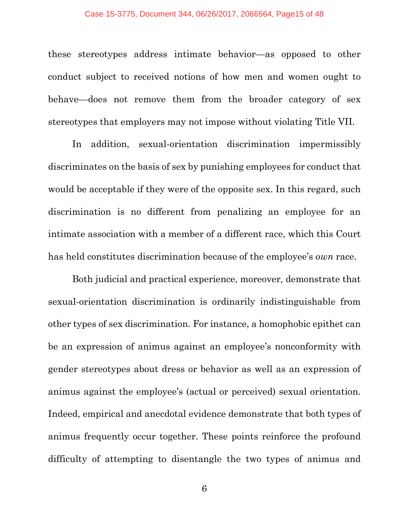#### Case 15-3775, Document 344, 06/26/2017, 2066564, Page15 of 48

these stereotypes address intimate behavior—as opposed to other conduct subject to received notions of how men and women ought to behave—does not remove them from the broader category of sex stereotypes that employers may not impose without violating Title VII.

In addition, sexual-orientation discrimination impermissibly discriminates on the basis of sex by punishing employees for conduct that would be acceptable if they were of the opposite sex. In this regard, such discrimination is no different from penalizing an employee for an intimate association with a member of a different race, which this Court has held constitutes discrimination because of the employee's *own* race.

Both judicial and practical experience, moreover, demonstrate that sexual-orientation discrimination is ordinarily indistinguishable from other types of sex discrimination. For instance, a homophobic epithet can be an expression of animus against an employee's nonconformity with gender stereotypes about dress or behavior as well as an expression of animus against the employee's (actual or perceived) sexual orientation. Indeed, empirical and anecdotal evidence demonstrate that both types of animus frequently occur together. These points reinforce the profound difficulty of attempting to disentangle the two types of animus and

6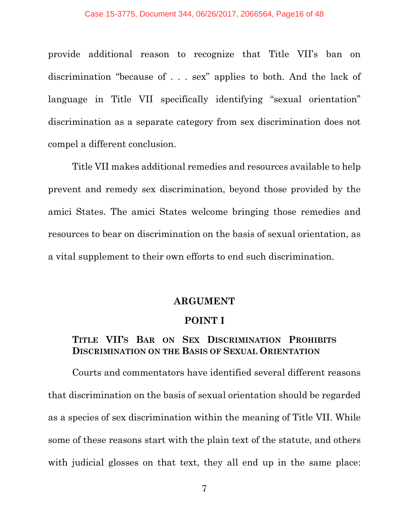provide additional reason to recognize that Title VII's ban on discrimination "because of . . . sex" applies to both. And the lack of language in Title VII specifically identifying "sexual orientation" discrimination as a separate category from sex discrimination does not compel a different conclusion.

Title VII makes additional remedies and resources available to help prevent and remedy sex discrimination, beyond those provided by the amici States. The amici States welcome bringing those remedies and resources to bear on discrimination on the basis of sexual orientation, as a vital supplement to their own efforts to end such discrimination.

#### **ARGUMENT**

#### **POINT I**

## <span id="page-15-2"></span><span id="page-15-1"></span><span id="page-15-0"></span>**TITLE VII'S BAR ON SEX DISCRIMINATION PROHIBITS DISCRIMINATION ON THE BASIS OF SEXUAL ORIENTATION**

Courts and commentators have identified several different reasons that discrimination on the basis of sexual orientation should be regarded as a species of sex discrimination within the meaning of Title VII. While some of these reasons start with the plain text of the statute, and others with judicial glosses on that text, they all end up in the same place: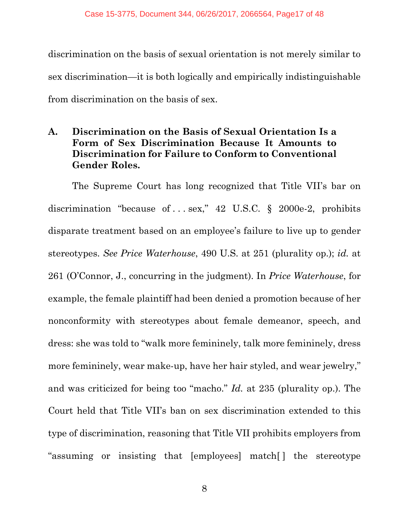discrimination on the basis of sexual orientation is not merely similar to sex discrimination—it is both logically and empirically indistinguishable from discrimination on the basis of sex.

## <span id="page-16-0"></span>**A. Discrimination on the Basis of Sexual Orientation Is a Form of Sex Discrimination Because It Amounts to Discrimination for Failure to Conform to Conventional Gender Roles.**

<span id="page-16-2"></span><span id="page-16-1"></span>The Supreme Court has long recognized that Title VII's bar on discrimination "because of ... sex," 42 U.S.C.  $\S$  2000e-2, prohibits disparate treatment based on an employee's failure to live up to gender stereotypes. *See Price Waterhouse*, 490 U.S. at 251 (plurality op.); *id.* at 261 (O'Connor, J., concurring in the judgment). In *Price Waterhouse*, for example, the female plaintiff had been denied a promotion because of her nonconformity with stereotypes about female demeanor, speech, and dress: she was told to "walk more femininely, talk more femininely, dress more femininely, wear make-up, have her hair styled, and wear jewelry," and was criticized for being too "macho." *Id.* at 235 (plurality op.). The Court held that Title VII's ban on sex discrimination extended to this type of discrimination, reasoning that Title VII prohibits employers from "assuming or insisting that [employees] match[ ] the stereotype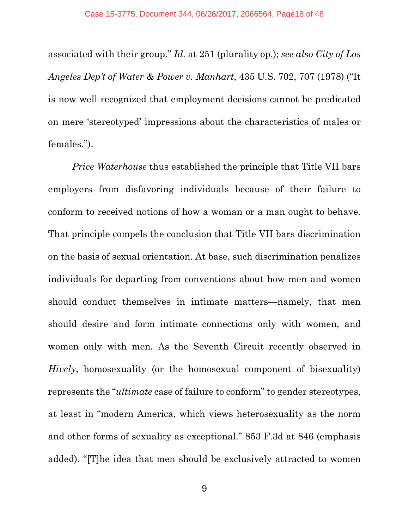<span id="page-17-1"></span><span id="page-17-0"></span>associated with their group." *Id.* at 251 (plurality op.); *see also City of Los Angeles Dep't of Water & Power v. Manhart*, 435 U.S. 702, 707 (1978) ("It is now well recognized that employment decisions cannot be predicated on mere 'stereotyped' impressions about the characteristics of males or females.").

*Price Waterhouse* thus established the principle that Title VII bars employers from disfavoring individuals because of their failure to conform to received notions of how a woman or a man ought to behave. That principle compels the conclusion that Title VII bars discrimination on the basis of sexual orientation. At base, such discrimination penalizes individuals for departing from conventions about how men and women should conduct themselves in intimate matters—namely, that men should desire and form intimate connections only with women, and women only with men. As the Seventh Circuit recently observed in *Hively*, homosexuality (or the homosexual component of bisexuality) represents the "*ultimate* case of failure to conform" to gender stereotypes, at least in "modern America, which views heterosexuality as the norm and other forms of sexuality as exceptional." 853 F.3d at 846 (emphasis added). "[T]he idea that men should be exclusively attracted to women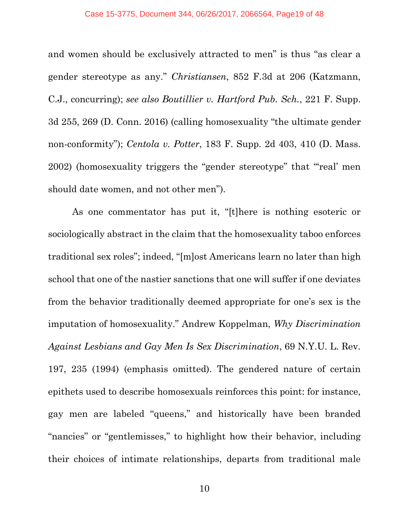<span id="page-18-0"></span>and women should be exclusively attracted to men" is thus "as clear a gender stereotype as any." *Christiansen*, 852 F.3d at 206 (Katzmann, C.J., concurring); *see also Boutillier v. Hartford Pub. Sch.*, 221 F. Supp. 3d 255, 269 (D. Conn. 2016) (calling homosexuality "the ultimate gender non-conformity"); *Centola v. Potter*, 183 F. Supp. 2d 403, 410 (D. Mass. 2002) (homosexuality triggers the "gender stereotype" that "'real' men should date women, and not other men").

<span id="page-18-2"></span><span id="page-18-1"></span>As one commentator has put it, "[t]here is nothing esoteric or sociologically abstract in the claim that the homosexuality taboo enforces traditional sex roles"; indeed, "[m]ost Americans learn no later than high school that one of the nastier sanctions that one will suffer if one deviates from the behavior traditionally deemed appropriate for one's sex is the imputation of homosexuality." Andrew Koppelman, *Why Discrimination Against Lesbians and Gay Men Is Sex Discrimination*, 69 N.Y.U. L. Rev. 197, 235 (1994) (emphasis omitted). The gendered nature of certain epithets used to describe homosexuals reinforces this point: for instance, gay men are labeled "queens," and historically have been branded "nancies" or "gentlemisses," to highlight how their behavior, including their choices of intimate relationships, departs from traditional male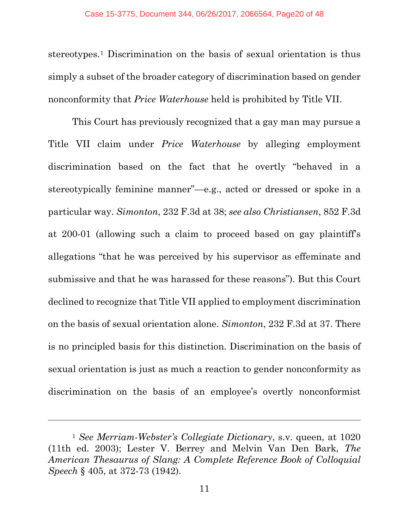stereotypes.[1](#page-19-3) Discrimination on the basis of sexual orientation is thus simply a subset of the broader category of discrimination based on gender nonconformity that *Price Waterhouse* held is prohibited by Title VII.

<span id="page-19-0"></span>This Court has previously recognized that a gay man may pursue a Title VII claim under *Price Waterhouse* by alleging employment discrimination based on the fact that he overtly "behaved in a stereotypically feminine manner"—e.g., acted or dressed or spoke in a particular way. *Simonton*, 232 F.3d at 38; *see also Christiansen*, 852 F.3d at 200-01 (allowing such a claim to proceed based on gay plaintiff's allegations "that he was perceived by his supervisor as effeminate and submissive and that he was harassed for these reasons"). But this Court declined to recognize that Title VII applied to employment discrimination on the basis of sexual orientation alone. *Simonton*, 232 F.3d at 37. There is no principled basis for this distinction. Discrimination on the basis of sexual orientation is just as much a reaction to gender nonconformity as discrimination on the basis of an employee's overtly nonconformist

 $\overline{a}$ 

<span id="page-19-3"></span><span id="page-19-2"></span><span id="page-19-1"></span><sup>1</sup> *See Merriam-Webster's Collegiate Dictionary*, s.v. queen, at 1020 (11th ed. 2003); Lester V. Berrey and Melvin Van Den Bark, *The American Thesaurus of Slang: A Complete Reference Book of Colloquial Speech* § 405, at 372-73 (1942).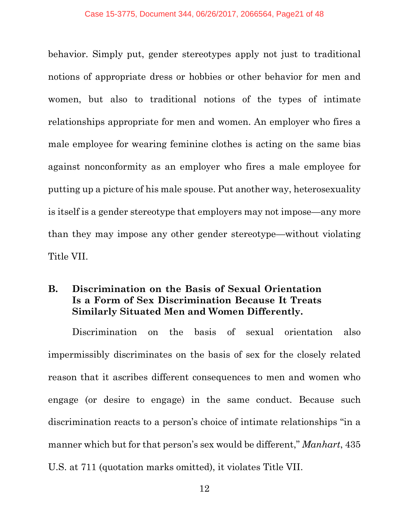behavior. Simply put, gender stereotypes apply not just to traditional notions of appropriate dress or hobbies or other behavior for men and women, but also to traditional notions of the types of intimate relationships appropriate for men and women. An employer who fires a male employee for wearing feminine clothes is acting on the same bias against nonconformity as an employer who fires a male employee for putting up a picture of his male spouse. Put another way, heterosexuality is itself is a gender stereotype that employers may not impose—any more than they may impose any other gender stereotype—without violating Title VII.

## <span id="page-20-0"></span>**B. Discrimination on the Basis of Sexual Orientation Is a Form of Sex Discrimination Because It Treats Similarly Situated Men and Women Differently.**

<span id="page-20-1"></span>Discrimination on the basis of sexual orientation also impermissibly discriminates on the basis of sex for the closely related reason that it ascribes different consequences to men and women who engage (or desire to engage) in the same conduct. Because such discrimination reacts to a person's choice of intimate relationships "in a manner which but for that person's sex would be different," *Manhart*, 435 U.S. at 711 (quotation marks omitted), it violates Title VII.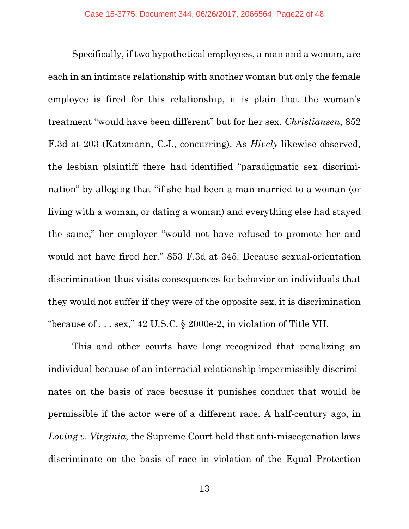Specifically, if two hypothetical employees, a man and a woman, are each in an intimate relationship with another woman but only the female employee is fired for this relationship, it is plain that the woman's treatment "would have been different" but for her sex. *Christiansen*, 852 F.3d at 203 (Katzmann, C.J., concurring). As *Hively* likewise observed, the lesbian plaintiff there had identified "paradigmatic sex discrimination" by alleging that "if she had been a man married to a woman (or living with a woman, or dating a woman) and everything else had stayed the same," her employer "would not have refused to promote her and would not have fired her." 853 F.3d at 345. Because sexual-orientation discrimination thus visits consequences for behavior on individuals that they would not suffer if they were of the opposite sex, it is discrimination "because of . . . sex," 42 U.S.C. § 2000e-2, in violation of Title VII.

<span id="page-21-1"></span><span id="page-21-0"></span>This and other courts have long recognized that penalizing an individual because of an interracial relationship impermissibly discriminates on the basis of race because it punishes conduct that would be permissible if the actor were of a different race. A half-century ago, in *Loving v. Virginia*, the Supreme Court held that anti-miscegenation laws discriminate on the basis of race in violation of the Equal Protection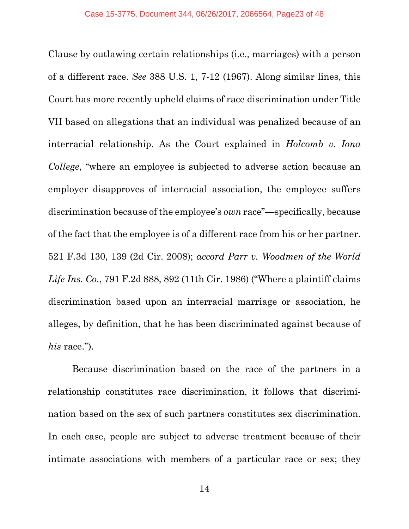<span id="page-22-1"></span><span id="page-22-0"></span>Clause by outlawing certain relationships (i.e., marriages) with a person of a different race. *See* 388 U.S. 1, 7-12 (1967). Along similar lines, this Court has more recently upheld claims of race discrimination under Title VII based on allegations that an individual was penalized because of an interracial relationship. As the Court explained in *Holcomb v. Iona College*, "where an employee is subjected to adverse action because an employer disapproves of interracial association, the employee suffers discrimination because of the employee's *own* race"—specifically, because of the fact that the employee is of a different race from his or her partner. 521 F.3d 130, 139 (2d Cir. 2008); *accord Parr v. Woodmen of the World Life Ins. Co.*, 791 F.2d 888, 892 (11th Cir. 1986) ("Where a plaintiff claims discrimination based upon an interracial marriage or association, he alleges, by definition, that he has been discriminated against because of *his* race.").

<span id="page-22-2"></span>Because discrimination based on the race of the partners in a relationship constitutes race discrimination, it follows that discrimination based on the sex of such partners constitutes sex discrimination. In each case, people are subject to adverse treatment because of their intimate associations with members of a particular race or sex; they

14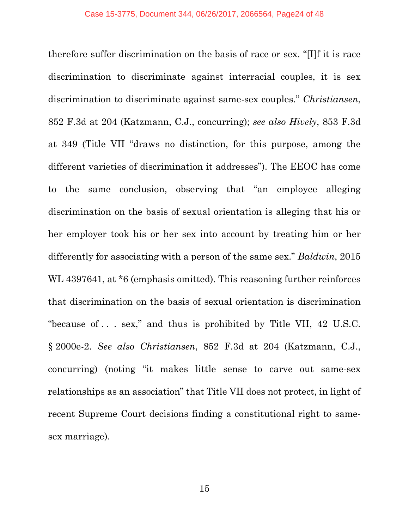<span id="page-23-1"></span><span id="page-23-0"></span>therefore suffer discrimination on the basis of race or sex. "[I]f it is race discrimination to discriminate against interracial couples, it is sex discrimination to discriminate against same-sex couples." *Christiansen*, 852 F.3d at 204 (Katzmann, C.J., concurring); *see also Hively*, 853 F.3d at 349 (Title VII "draws no distinction, for this purpose, among the different varieties of discrimination it addresses"). The EEOC has come to the same conclusion, observing that "an employee alleging discrimination on the basis of sexual orientation is alleging that his or her employer took his or her sex into account by treating him or her differently for associating with a person of the same sex." *Baldwin*, 2015 WL 4397641, at  $*6$  (emphasis omitted). This reasoning further reinforces that discrimination on the basis of sexual orientation is discrimination "because of . . . sex," and thus is prohibited by Title VII, 42 U.S.C. § 2000e-2. *See also Christiansen*, 852 F.3d at 204 (Katzmann, C.J., concurring) (noting "it makes little sense to carve out same-sex relationships as an association" that Title VII does not protect, in light of recent Supreme Court decisions finding a constitutional right to samesex marriage).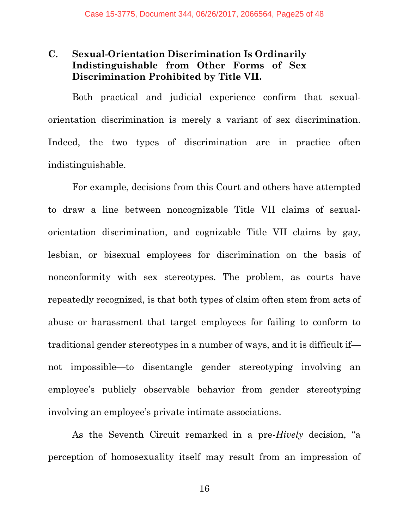## <span id="page-24-0"></span>**C. Sexual-Orientation Discrimination Is Ordinarily Indistinguishable from Other Forms of Sex Discrimination Prohibited by Title VII.**

Both practical and judicial experience confirm that sexualorientation discrimination is merely a variant of sex discrimination. Indeed, the two types of discrimination are in practice often indistinguishable.

For example, decisions from this Court and others have attempted to draw a line between noncognizable Title VII claims of sexualorientation discrimination, and cognizable Title VII claims by gay, lesbian, or bisexual employees for discrimination on the basis of nonconformity with sex stereotypes. The problem, as courts have repeatedly recognized, is that both types of claim often stem from acts of abuse or harassment that target employees for failing to conform to traditional gender stereotypes in a number of ways, and it is difficult if not impossible—to disentangle gender stereotyping involving an employee's publicly observable behavior from gender stereotyping involving an employee's private intimate associations.

As the Seventh Circuit remarked in a pre-*Hively* decision, "a perception of homosexuality itself may result from an impression of

16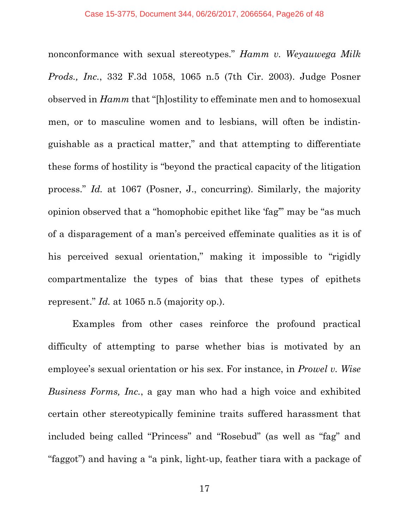<span id="page-25-0"></span>nonconformance with sexual stereotypes." *Hamm v. Weyauwega Milk Prods., Inc.*, 332 F.3d 1058, 1065 n.5 (7th Cir. 2003). Judge Posner observed in *Hamm* that "[h]ostility to effeminate men and to homosexual men, or to masculine women and to lesbians, will often be indistinguishable as a practical matter," and that attempting to differentiate these forms of hostility is "beyond the practical capacity of the litigation process." *Id.* at 1067 (Posner, J., concurring). Similarly, the majority opinion observed that a "homophobic epithet like 'fag'" may be "as much of a disparagement of a man's perceived effeminate qualities as it is of his perceived sexual orientation," making it impossible to "rigidly compartmentalize the types of bias that these types of epithets represent." *Id.* at 1065 n.5 (majority op.).

<span id="page-25-1"></span>Examples from other cases reinforce the profound practical difficulty of attempting to parse whether bias is motivated by an employee's sexual orientation or his sex. For instance, in *Prowel v. Wise Business Forms, Inc.*, a gay man who had a high voice and exhibited certain other stereotypically feminine traits suffered harassment that included being called "Princess" and "Rosebud" (as well as "fag" and "faggot") and having a "a pink, light-up, feather tiara with a package of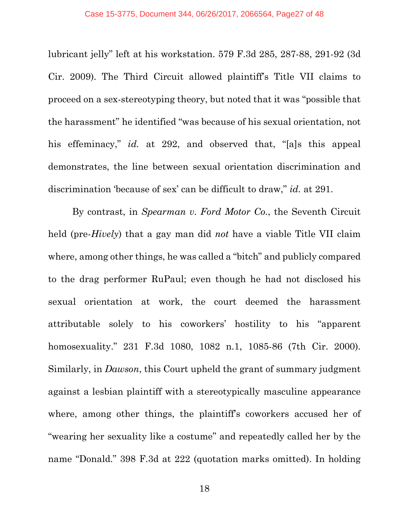<span id="page-26-1"></span>lubricant jelly" left at his workstation. 579 F.3d 285, 287-88, 291-92 (3d Cir. 2009). The Third Circuit allowed plaintiff's Title VII claims to proceed on a sex-stereotyping theory, but noted that it was "possible that the harassment" he identified "was because of his sexual orientation, not his effeminacy," *id.* at 292, and observed that, "[a]s this appeal demonstrates, the line between sexual orientation discrimination and discrimination 'because of sex' can be difficult to draw," *id.* at 291.

<span id="page-26-2"></span><span id="page-26-0"></span>By contrast, in *Spearman v. Ford Motor Co.*, the Seventh Circuit held (pre-*Hively*) that a gay man did *not* have a viable Title VII claim where, among other things, he was called a "bitch" and publicly compared to the drag performer RuPaul; even though he had not disclosed his sexual orientation at work, the court deemed the harassment attributable solely to his coworkers' hostility to his "apparent homosexuality." 231 F.3d 1080, 1082 n.1, 1085-86 (7th Cir. 2000). Similarly, in *Dawson*, this Court upheld the grant of summary judgment against a lesbian plaintiff with a stereotypically masculine appearance where, among other things, the plaintiff's coworkers accused her of "wearing her sexuality like a costume" and repeatedly called her by the name "Donald." 398 F.3d at 222 (quotation marks omitted). In holding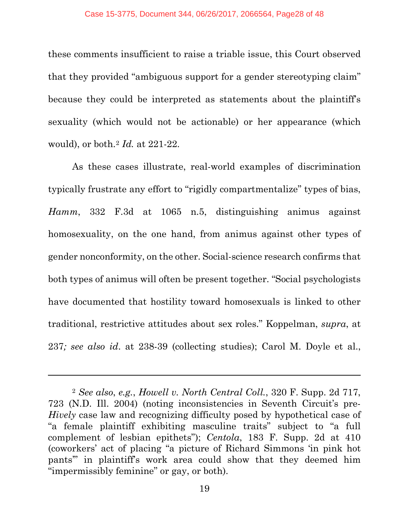these comments insufficient to raise a triable issue, this Court observed that they provided "ambiguous support for a gender stereotyping claim" because they could be interpreted as statements about the plaintiff's sexuality (which would not be actionable) or her appearance (which would), or both.[2](#page-27-6) *Id.* at 221-22.

<span id="page-27-2"></span><span id="page-27-1"></span>As these cases illustrate, real-world examples of discrimination typically frustrate any effort to "rigidly compartmentalize" types of bias, *Hamm*, 332 F.3d at 1065 n.5, distinguishing animus against homosexuality, on the one hand, from animus against other types of gender nonconformity, on the other. Social-science research confirms that both types of animus will often be present together. "Social psychologists have documented that hostility toward homosexuals is linked to other traditional, restrictive attitudes about sex roles." Koppelman, *supra*, at 237*; see also id*. at 238-39 (collecting studies); Carol M. Doyle et al.,

<span id="page-27-5"></span><span id="page-27-4"></span><span id="page-27-3"></span> $\overline{a}$ 

<span id="page-27-6"></span><span id="page-27-0"></span><sup>2</sup> *See also*, *e.g.*, *Howell v. North Central Coll.*, 320 F. Supp. 2d 717, 723 (N.D. Ill. 2004) (noting inconsistencies in Seventh Circuit's pre-*Hively* case law and recognizing difficulty posed by hypothetical case of "a female plaintiff exhibiting masculine traits" subject to "a full complement of lesbian epithets"); *Centola*, 183 F. Supp. 2d at 410 (coworkers' act of placing "a picture of Richard Simmons 'in pink hot pants'" in plaintiff's work area could show that they deemed him "impermissibly feminine" or gay, or both).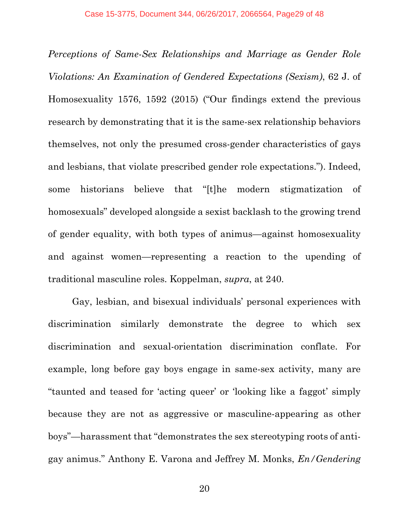*Perceptions of Same-Sex Relationships and Marriage as Gender Role Violations: An Examination of Gendered Expectations (Sexism)*, 62 J. of Homosexuality 1576, 1592 (2015) ("Our findings extend the previous research by demonstrating that it is the same-sex relationship behaviors themselves, not only the presumed cross-gender characteristics of gays and lesbians, that violate prescribed gender role expectations."). Indeed, some historians believe that "[t]he modern stigmatization of homosexuals" developed alongside a sexist backlash to the growing trend of gender equality, with both types of animus—against homosexuality and against women—representing a reaction to the upending of traditional masculine roles. Koppelman, *supra*, at 240.

<span id="page-28-1"></span><span id="page-28-0"></span>Gay, lesbian, and bisexual individuals' personal experiences with discrimination similarly demonstrate the degree to which sex discrimination and sexual-orientation discrimination conflate. For example, long before gay boys engage in same-sex activity, many are "taunted and teased for 'acting queer' or 'looking like a faggot' simply because they are not as aggressive or masculine-appearing as other boys"—harassment that "demonstrates the sex stereotyping roots of antigay animus." Anthony E. Varona and Jeffrey M. Monks, *En/Gendering*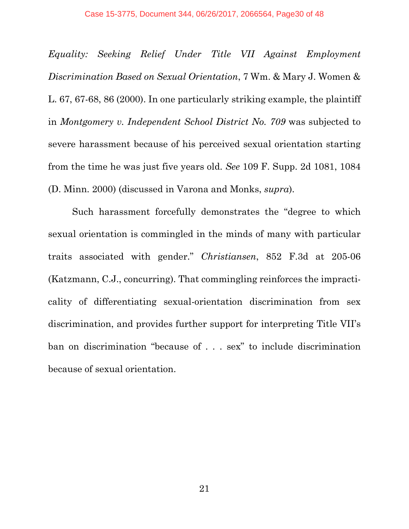<span id="page-29-0"></span>*Equality: Seeking Relief Under Title VII Against Employment Discrimination Based on Sexual Orientation*, 7 Wm. & Mary J. Women & L. 67, 67-68, 86 (2000). In one particularly striking example, the plaintiff in *Montgomery v. Independent School District No. 709* was subjected to severe harassment because of his perceived sexual orientation starting from the time he was just five years old. *See* 109 F. Supp. 2d 1081, 1084 (D. Minn. 2000) (discussed in Varona and Monks, *supra*).

Such harassment forcefully demonstrates the "degree to which sexual orientation is commingled in the minds of many with particular traits associated with gender." *Christiansen*, 852 F.3d at 205-06 (Katzmann, C.J., concurring). That commingling reinforces the impracticality of differentiating sexual-orientation discrimination from sex discrimination, and provides further support for interpreting Title VII's ban on discrimination "because of . . . sex" to include discrimination because of sexual orientation.

21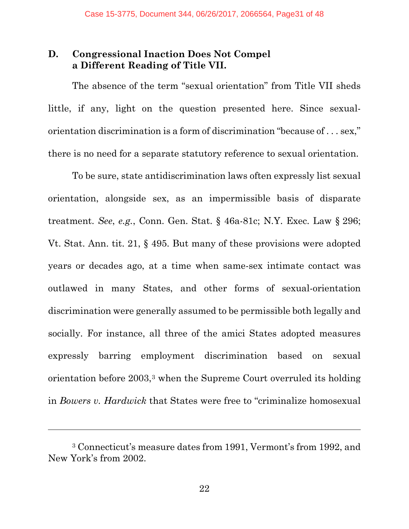## <span id="page-30-0"></span>**D. Congressional Inaction Does Not Compel a Different Reading of Title VII.**

The absence of the term "sexual orientation" from Title VII sheds little, if any, light on the question presented here. Since sexualorientation discrimination is a form of discrimination "because of . . . sex," there is no need for a separate statutory reference to sexual orientation.

<span id="page-30-4"></span><span id="page-30-3"></span><span id="page-30-2"></span>To be sure, state antidiscrimination laws often expressly list sexual orientation, alongside sex, as an impermissible basis of disparate treatment. *See*, *e.g.*, Conn. Gen. Stat. § 46a-81c; N.Y. Exec. Law § 296; Vt. Stat. Ann. tit. 21, § 495. But many of these provisions were adopted years or decades ago, at a time when same-sex intimate contact was outlawed in many States, and other forms of sexual-orientation discrimination were generally assumed to be permissible both legally and socially. For instance, all three of the amici States adopted measures expressly barring employment discrimination based on sexual orientation before 2003,[3](#page-30-5) when the Supreme Court overruled its holding in *Bowers v. Hardwick* that States were free to "criminalize homosexual

<span id="page-30-1"></span> $\overline{a}$ 

<span id="page-30-5"></span><sup>3</sup> Connecticut's measure dates from 1991, Vermont's from 1992, and New York's from 2002.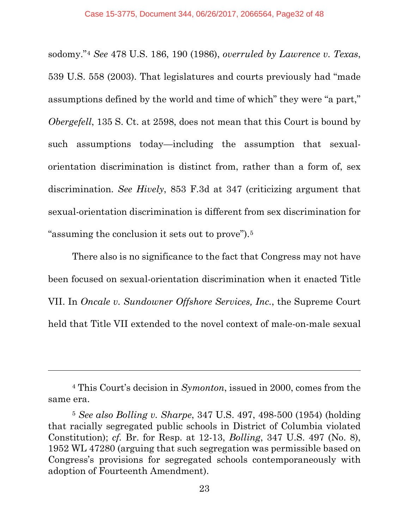<span id="page-31-2"></span><span id="page-31-1"></span>sodomy."[4](#page-31-4) *See* 478 U.S. 186, 190 (1986), *overruled by Lawrence v. Texas*, 539 U.S. 558 (2003). That legislatures and courts previously had "made assumptions defined by the world and time of which" they were "a part," *Obergefell*, 135 S. Ct. at 2598, does not mean that this Court is bound by such assumptions today—including the assumption that sexualorientation discrimination is distinct from, rather than a form of, sex discrimination. *See Hively*, 853 F.3d at 347 (criticizing argument that sexual-orientation discrimination is different from sex discrimination for "assuming the conclusion it sets out to prove").<sup>[5](#page-31-5)</sup>

<span id="page-31-3"></span>There also is no significance to the fact that Congress may not have been focused on sexual-orientation discrimination when it enacted Title VII. In *Oncale v. Sundowner Offshore Services, Inc.*, the Supreme Court held that Title VII extended to the novel context of male-on-male sexual

 $\overline{a}$ 

<span id="page-31-4"></span><sup>4</sup> This Court's decision in *Symonton*, issued in 2000, comes from the same era.

<span id="page-31-5"></span><span id="page-31-0"></span><sup>5</sup> *See also Bolling v. Sharpe*, 347 U.S. 497, 498-500 (1954) (holding that racially segregated public schools in District of Columbia violated Constitution); *cf.* Br. for Resp. at 12-13, *Bolling*, 347 U.S. 497 (No. 8), 1952 WL 47280 (arguing that such segregation was permissible based on Congress's provisions for segregated schools contemporaneously with adoption of Fourteenth Amendment).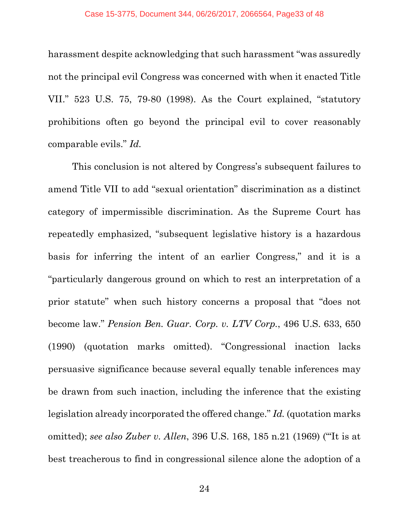<span id="page-32-0"></span>harassment despite acknowledging that such harassment "was assuredly not the principal evil Congress was concerned with when it enacted Title VII." 523 U.S. 75, 79-80 (1998). As the Court explained, "statutory prohibitions often go beyond the principal evil to cover reasonably comparable evils." *Id.*

<span id="page-32-2"></span><span id="page-32-1"></span>This conclusion is not altered by Congress's subsequent failures to amend Title VII to add "sexual orientation" discrimination as a distinct category of impermissible discrimination. As the Supreme Court has repeatedly emphasized, "subsequent legislative history is a hazardous basis for inferring the intent of an earlier Congress," and it is a "particularly dangerous ground on which to rest an interpretation of a prior statute" when such history concerns a proposal that "does not become law." *Pension Ben. Guar. Corp. v. LTV Corp.*, 496 U.S. 633, 650 (1990) (quotation marks omitted). "Congressional inaction lacks persuasive significance because several equally tenable inferences may be drawn from such inaction, including the inference that the existing legislation already incorporated the offered change." *Id.* (quotation marks omitted); *see also Zuber v. Allen*, 396 U.S. 168, 185 n.21 (1969) ("'It is at best treacherous to find in congressional silence alone the adoption of a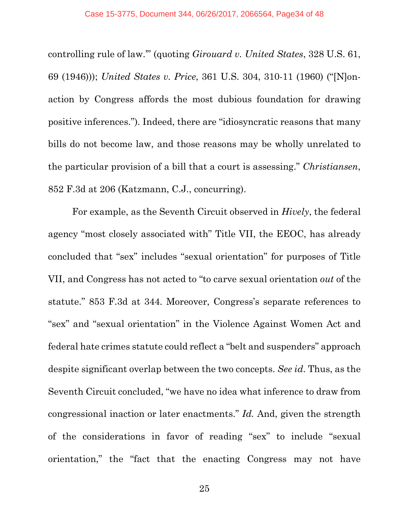<span id="page-33-0"></span>controlling rule of law.'" (quoting *Girouard v. United States*, 328 U.S. 61, 69 (1946))); *United States v. Price*, 361 U.S. 304, 310-11 (1960) ("[N]onaction by Congress affords the most dubious foundation for drawing positive inferences."). Indeed, there are "idiosyncratic reasons that many bills do not become law, and those reasons may be wholly unrelated to the particular provision of a bill that a court is assessing." *Christiansen*, 852 F.3d at 206 (Katzmann, C.J., concurring).

For example, as the Seventh Circuit observed in *Hively*, the federal agency "most closely associated with" Title VII, the EEOC, has already concluded that "sex" includes "sexual orientation" for purposes of Title VII, and Congress has not acted to "to carve sexual orientation *out* of the statute." 853 F.3d at 344. Moreover, Congress's separate references to "sex" and "sexual orientation" in the Violence Against Women Act and federal hate crimes statute could reflect a "belt and suspenders" approach despite significant overlap between the two concepts. *See id*. Thus, as the Seventh Circuit concluded, "we have no idea what inference to draw from congressional inaction or later enactments." *Id.* And, given the strength of the considerations in favor of reading "sex" to include "sexual orientation," the "fact that the enacting Congress may not have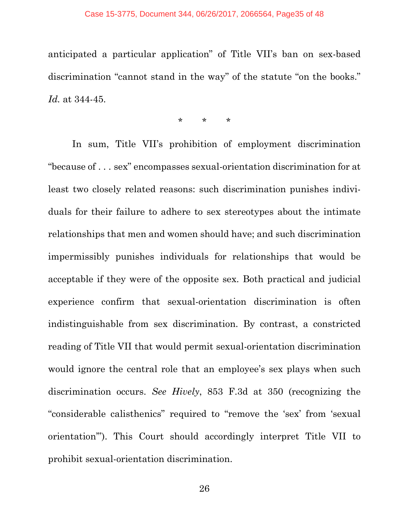#### Case 15-3775, Document 344, 06/26/2017, 2066564, Page35 of 48

anticipated a particular application" of Title VII's ban on sex-based discrimination "cannot stand in the way" of the statute "on the books." *Id.* at 344-45.

\* \* \*

In sum, Title VII's prohibition of employment discrimination "because of . . . sex" encompasses sexual-orientation discrimination for at least two closely related reasons: such discrimination punishes individuals for their failure to adhere to sex stereotypes about the intimate relationships that men and women should have; and such discrimination impermissibly punishes individuals for relationships that would be acceptable if they were of the opposite sex. Both practical and judicial experience confirm that sexual-orientation discrimination is often indistinguishable from sex discrimination. By contrast, a constricted reading of Title VII that would permit sexual-orientation discrimination would ignore the central role that an employee's sex plays when such discrimination occurs. *See Hively*, 853 F.3d at 350 (recognizing the "considerable calisthenics" required to "remove the 'sex' from 'sexual orientation'"). This Court should accordingly interpret Title VII to prohibit sexual-orientation discrimination.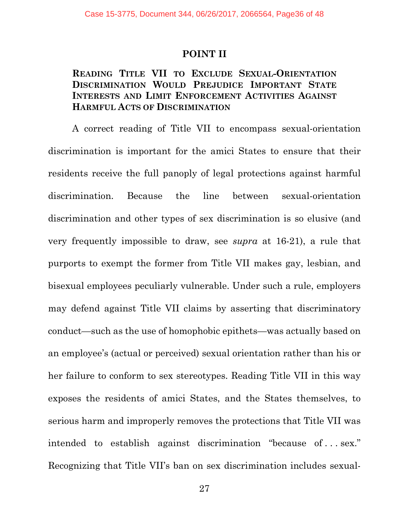#### **POINT II**

## <span id="page-35-1"></span><span id="page-35-0"></span>**READING TITLE VII TO EXCLUDE SEXUAL-ORIENTATION DISCRIMINATION WOULD PREJUDICE IMPORTANT STATE INTERESTS AND LIMIT ENFORCEMENT ACTIVITIES AGAINST HARMFUL ACTS OF DISCRIMINATION**

A correct reading of Title VII to encompass sexual-orientation discrimination is important for the amici States to ensure that their residents receive the full panoply of legal protections against harmful discrimination. Because the line between sexual-orientation discrimination and other types of sex discrimination is so elusive (and very frequently impossible to draw, see *supra* at 16-21), a rule that purports to exempt the former from Title VII makes gay, lesbian, and bisexual employees peculiarly vulnerable. Under such a rule, employers may defend against Title VII claims by asserting that discriminatory conduct—such as the use of homophobic epithets—was actually based on an employee's (actual or perceived) sexual orientation rather than his or her failure to conform to sex stereotypes. Reading Title VII in this way exposes the residents of amici States, and the States themselves, to serious harm and improperly removes the protections that Title VII was intended to establish against discrimination "because of . . . sex." Recognizing that Title VII's ban on sex discrimination includes sexual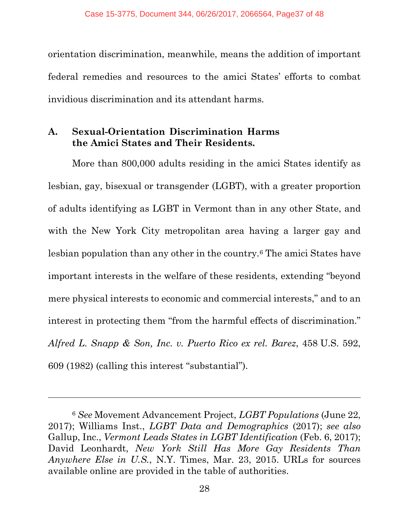orientation discrimination, meanwhile, means the addition of important federal remedies and resources to the amici States' efforts to combat invidious discrimination and its attendant harms.

## <span id="page-36-0"></span>**A. Sexual-Orientation Discrimination Harms the Amici States and Their Residents.**

More than 800,000 adults residing in the amici States identify as lesbian, gay, bisexual or transgender (LGBT), with a greater proportion of adults identifying as LGBT in Vermont than in any other State, and with the New York City metropolitan area having a larger gay and lesbian population than any other in the country.[6](#page-36-6) The amici States have important interests in the welfare of these residents, extending "beyond mere physical interests to economic and commercial interests," and to an interest in protecting them "from the harmful effects of discrimination." *Alfred L. Snapp & Son, Inc. v. Puerto Rico ex rel. Barez*, 458 U.S. 592, 609 (1982) (calling this interest "substantial").

<span id="page-36-1"></span>l

<span id="page-36-6"></span><span id="page-36-5"></span><span id="page-36-4"></span><span id="page-36-3"></span><span id="page-36-2"></span><sup>6</sup> *See* Movement Advancement Project, *LGBT Populations* (June 22, 2017); Williams Inst., *LGBT Data and Demographics* (2017); *see also*  Gallup, Inc., *Vermont Leads States in LGBT Identification* (Feb. 6, 2017); David Leonhardt, *New York Still Has More Gay Residents Than Anywhere Else in U.S.*, N.Y. Times, Mar. 23, 2015. URLs for sources available online are provided in the table of authorities.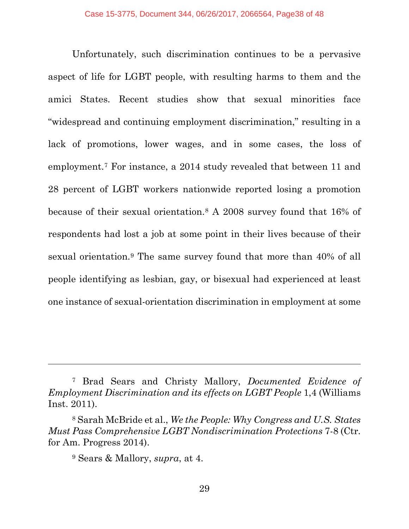Unfortunately, such discrimination continues to be a pervasive aspect of life for LGBT people, with resulting harms to them and the amici States. Recent studies show that sexual minorities face "widespread and continuing employment discrimination," resulting in a lack of promotions, lower wages, and in some cases, the loss of employment.[7](#page-37-2) For instance, a 2014 study revealed that between 11 and 28 percent of LGBT workers nationwide reported losing a promotion because of their sexual orientation.[8](#page-37-3) A 2008 survey found that 16% of respondents had lost a job at some point in their lives because of their sexual orientation.[9](#page-37-4) The same survey found that more than 40% of all people identifying as lesbian, gay, or bisexual had experienced at least one instance of sexual-orientation discrimination in employment at some

 $\overline{a}$ 

<span id="page-37-2"></span><span id="page-37-0"></span><sup>7</sup> Brad Sears and Christy Mallory, *Documented Evidence of Employment Discrimination and its effects on LGBT People* 1,4 (Williams Inst. 2011).

<span id="page-37-4"></span><span id="page-37-3"></span><span id="page-37-1"></span><sup>8</sup> Sarah McBride et al., *We the People: Why Congress and U.S. States Must Pass Comprehensive LGBT Nondiscrimination Protections* 7-8 (Ctr. for Am. Progress 2014).

<sup>9</sup> Sears & Mallory, *supra*, at 4.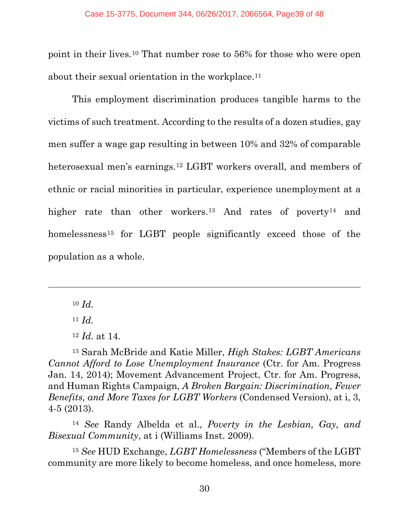point in their lives.[10](#page-38-6) That number rose to 56% for those who were open about their sexual orientation in the workplace.<sup>[11](#page-38-7)</sup>

This employment discrimination produces tangible harms to the victims of such treatment. According to the results of a dozen studies, gay men suffer a wage gap resulting in between 10% and 32% of comparable heterosexual men's earnings.[12](#page-38-8) LGBT workers overall, and members of ethnic or racial minorities in particular, experience unemployment at a higher rate than other workers.<sup>[13](#page-38-9)</sup> And rates of poverty<sup>[14](#page-38-10)</sup> and homelessness<sup>[15](#page-38-11)</sup> for LGBT people significantly exceed those of the population as a whole.

<span id="page-38-4"></span><sup>10</sup> *Id.*

<span id="page-38-6"></span> $\overline{a}$ 

<span id="page-38-9"></span><span id="page-38-8"></span><span id="page-38-7"></span><sup>13</sup> Sarah McBride and Katie Miller, *High Stakes: LGBT Americans Cannot Afford to Lose Unemployment Insurance* (Ctr. for Am. Progress Jan. 14, 2014); Movement Advancement Project, Ctr. for Am. Progress, and Human Rights Campaign, *A Broken Bargain: Discrimination, Fewer Benefits, and More Taxes for LGBT Workers* (Condensed Version), at i, 3, 4-5 (2013).

<span id="page-38-10"></span><span id="page-38-3"></span><sup>14</sup> *See* Randy Albelda et al., *Poverty in the Lesbian, Gay, and Bisexual Community*, at i (Williams Inst. 2009).

<span id="page-38-11"></span><span id="page-38-1"></span><sup>15</sup> *See* HUD Exchange, *LGBT Homelessness* ("Members of the LGBT community are more likely to become homeless, and once homeless, more

<sup>11</sup> *Id.*

<span id="page-38-5"></span><span id="page-38-2"></span><span id="page-38-0"></span><sup>12</sup> *Id.* at 14.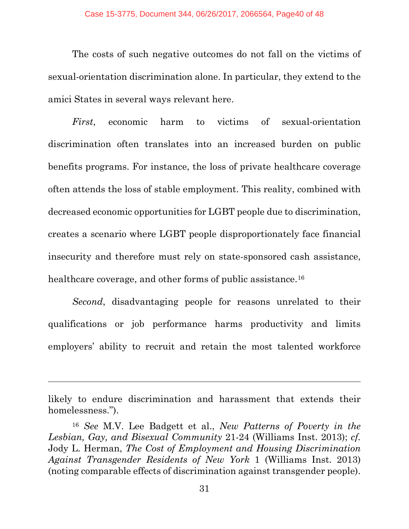The costs of such negative outcomes do not fall on the victims of sexual-orientation discrimination alone. In particular, they extend to the amici States in several ways relevant here.

*First*, economic harm to victims of sexual-orientation discrimination often translates into an increased burden on public benefits programs. For instance, the loss of private healthcare coverage often attends the loss of stable employment. This reality, combined with decreased economic opportunities for LGBT people due to discrimination, creates a scenario where LGBT people disproportionately face financial insecurity and therefore must rely on state-sponsored cash assistance, healthcare coverage, and other forms of public assistance.<sup>[16](#page-39-2)</sup>

*Second*, disadvantaging people for reasons unrelated to their qualifications or job performance harms productivity and limits employers' ability to recruit and retain the most talented workforce

 $\overline{a}$ 

likely to endure discrimination and harassment that extends their homelessness.").

<span id="page-39-2"></span><span id="page-39-1"></span><span id="page-39-0"></span><sup>16</sup> *See* M.V. Lee Badgett et al., *New Patterns of Poverty in the Lesbian, Gay, and Bisexual Community* 21-24 (Williams Inst. 2013); *cf.*  Jody L. Herman, *The Cost of Employment and Housing Discrimination Against Transgender Residents of New York* 1 (Williams Inst. 2013) (noting comparable effects of discrimination against transgender people).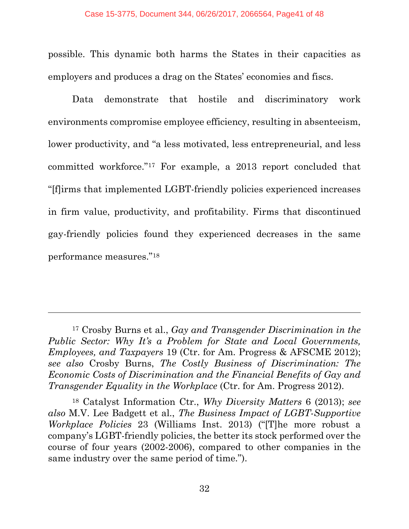possible. This dynamic both harms the States in their capacities as employers and produces a drag on the States' economies and fiscs.

Data demonstrate that hostile and discriminatory work environments compromise employee efficiency, resulting in absenteeism, lower productivity, and "a less motivated, less entrepreneurial, and less committed workforce."[17](#page-40-4) For example, a 2013 report concluded that "[f]irms that implemented LGBT-friendly policies experienced increases in firm value, productivity, and profitability. Firms that discontinued gay-friendly policies found they experienced decreases in the same performance measures."[18](#page-40-5)

 $\overline{a}$ 

<span id="page-40-5"></span><span id="page-40-3"></span><span id="page-40-0"></span><sup>18</sup> Catalyst Information Ctr., *Why Diversity Matters* 6 (2013); *see also* M.V. Lee Badgett et al., *The Business Impact of LGBT-Supportive Workplace Policies* 23 (Williams Inst. 2013) ("[T]he more robust a company's LGBT-friendly policies, the better its stock performed over the course of four years (2002-2006), compared to other companies in the same industry over the same period of time.").

<span id="page-40-4"></span><span id="page-40-2"></span><span id="page-40-1"></span><sup>17</sup> Crosby Burns et al., *Gay and Transgender Discrimination in the Public Sector: Why It's a Problem for State and Local Governments, Employees, and Taxpayers* 19 (Ctr. for Am. Progress & AFSCME 2012); *see also* Crosby Burns, *The Costly Business of Discrimination: The Economic Costs of Discrimination and the Financial Benefits of Gay and Transgender Equality in the Workplace* (Ctr. for Am. Progress 2012).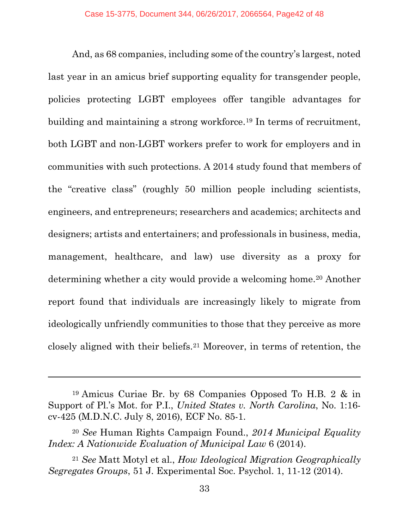And, as 68 companies, including some of the country's largest, noted last year in an amicus brief supporting equality for transgender people, policies protecting LGBT employees offer tangible advantages for building and maintaining a strong workforce.[19](#page-41-2) In terms of recruitment, both LGBT and non-LGBT workers prefer to work for employers and in communities with such protections. A 2014 study found that members of the "creative class" (roughly 50 million people including scientists, engineers, and entrepreneurs; researchers and academics; architects and designers; artists and entertainers; and professionals in business, media, management, healthcare, and law) use diversity as a proxy for determining whether a city would provide a welcoming home.<sup>[20](#page-41-3)</sup> Another report found that individuals are increasingly likely to migrate from ideologically unfriendly communities to those that they perceive as more closely aligned with their beliefs.[21](#page-41-4) Moreover, in terms of retention, the

 $\overline{a}$ 

<span id="page-41-2"></span><sup>19</sup> Amicus Curiae Br. by 68 Companies Opposed To H.B. 2 & in Support of Pl.'s Mot. for P.I., *United States v. North Carolina*, No. 1:16 cv-425 (M.D.N.C. July 8, 2016), ECF No. 85-1.

<span id="page-41-3"></span><span id="page-41-0"></span><sup>20</sup> *See* Human Rights Campaign Found., *2014 Municipal Equality Index: A Nationwide Evaluation of Municipal Law* 6 (2014).

<span id="page-41-4"></span><span id="page-41-1"></span><sup>21</sup> *See* Matt Motyl et al., *How Ideological Migration Geographically Segregates Groups*, 51 J. Experimental Soc. Psychol. 1, 11-12 (2014).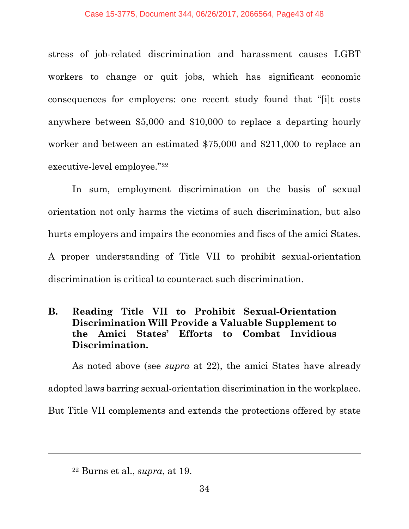stress of job-related discrimination and harassment causes LGBT workers to change or quit jobs, which has significant economic consequences for employers: one recent study found that "[i]t costs anywhere between \$5,000 and \$10,000 to replace a departing hourly worker and between an estimated \$75,000 and \$211,000 to replace an executive-level employee."[22](#page-42-1)

In sum, employment discrimination on the basis of sexual orientation not only harms the victims of such discrimination, but also hurts employers and impairs the economies and fiscs of the amici States. A proper understanding of Title VII to prohibit sexual-orientation discrimination is critical to counteract such discrimination.

## <span id="page-42-0"></span>**B. Reading Title VII to Prohibit Sexual-Orientation Discrimination Will Provide a Valuable Supplement to the Amici States' Efforts to Combat Invidious Discrimination.**

As noted above (see *supra* at 22), the amici States have already adopted laws barring sexual-orientation discrimination in the workplace. But Title VII complements and extends the protections offered by state

<span id="page-42-1"></span> $\overline{a}$ 

<sup>22</sup> Burns et al., *supra*, at 19.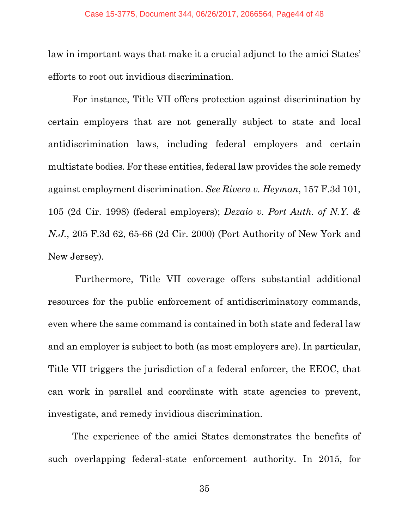law in important ways that make it a crucial adjunct to the amici States' efforts to root out invidious discrimination.

<span id="page-43-1"></span>For instance, Title VII offers protection against discrimination by certain employers that are not generally subject to state and local antidiscrimination laws, including federal employers and certain multistate bodies. For these entities, federal law provides the sole remedy against employment discrimination. *See Rivera v. Heyman*, 157 F.3d 101, 105 (2d Cir. 1998) (federal employers); *Dezaio v. Port Auth. of N.Y. & N.J.*, 205 F.3d 62, 65-66 (2d Cir. 2000) (Port Authority of New York and New Jersey).

<span id="page-43-0"></span>Furthermore, Title VII coverage offers substantial additional resources for the public enforcement of antidiscriminatory commands, even where the same command is contained in both state and federal law and an employer is subject to both (as most employers are). In particular, Title VII triggers the jurisdiction of a federal enforcer, the EEOC, that can work in parallel and coordinate with state agencies to prevent, investigate, and remedy invidious discrimination.

The experience of the amici States demonstrates the benefits of such overlapping federal-state enforcement authority. In 2015, for

35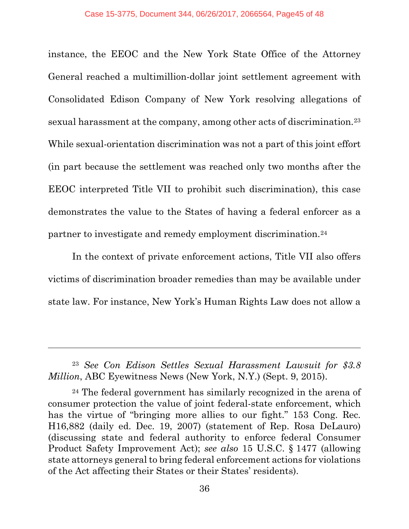instance, the EEOC and the New York State Office of the Attorney General reached a multimillion-dollar joint settlement agreement with Consolidated Edison Company of New York resolving allegations of sexual harassment at the company, among other acts of discrimination.<sup>[23](#page-44-3)</sup> While sexual-orientation discrimination was not a part of this joint effort (in part because the settlement was reached only two months after the EEOC interpreted Title VII to prohibit such discrimination), this case demonstrates the value to the States of having a federal enforcer as a partner to investigate and remedy employment discrimination.[24](#page-44-4)

In the context of private enforcement actions, Title VII also offers victims of discrimination broader remedies than may be available under state law. For instance, New York's Human Rights Law does not allow a

 $\overline{a}$ 

<span id="page-44-3"></span><span id="page-44-2"></span><sup>23</sup> *See Con Edison Settles Sexual Harassment Lawsuit for \$3.8 Million*, ABC Eyewitness News (New York, N.Y.) (Sept. 9, 2015).

<span id="page-44-4"></span><span id="page-44-1"></span><span id="page-44-0"></span><sup>24</sup> The federal government has similarly recognized in the arena of consumer protection the value of joint federal-state enforcement, which has the virtue of "bringing more allies to our fight." 153 Cong. Rec. H16,882 (daily ed. Dec. 19, 2007) (statement of Rep. Rosa DeLauro) (discussing state and federal authority to enforce federal Consumer Product Safety Improvement Act); *see also* 15 U.S.C. § 1477 (allowing state attorneys general to bring federal enforcement actions for violations of the Act affecting their States or their States' residents).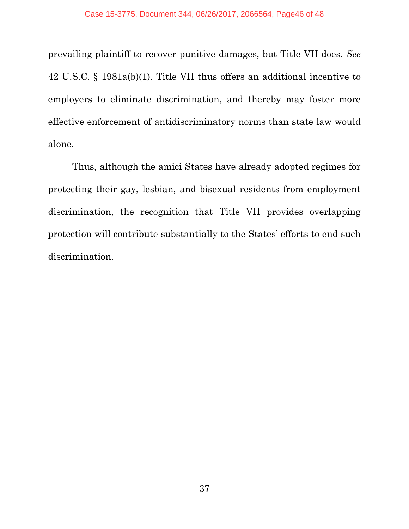<span id="page-45-1"></span>prevailing plaintiff to recover punitive damages, but Title VII does. *See* 42 U.S.C. § 1981a(b)(1). Title VII thus offers an additional incentive to employers to eliminate discrimination, and thereby may foster more effective enforcement of antidiscriminatory norms than state law would alone.

<span id="page-45-0"></span>Thus, although the amici States have already adopted regimes for protecting their gay, lesbian, and bisexual residents from employment discrimination, the recognition that Title VII provides overlapping protection will contribute substantially to the States' efforts to end such discrimination.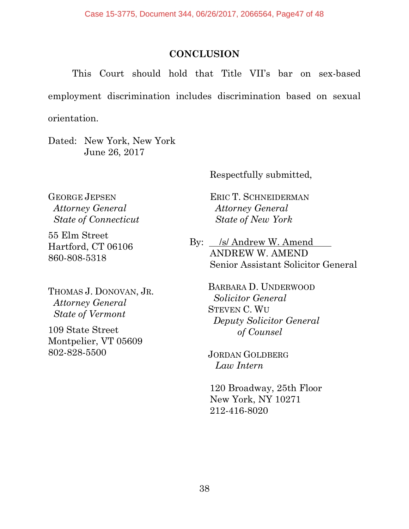## **CONCLUSION**

This Court should hold that Title VII's bar on sex-based employment discrimination includes discrimination based on sexual orientation.

Dated: New York, New York June 26, 2017

Respectfully submitted,

GEORGE JEPSEN *Attorney General State of Connecticut*

55 Elm Street Hartford, CT 06106 860-808-5318

THOMAS J. DONOVAN, JR. *Attorney General State of Vermont*

109 State Street Montpelier, VT 05609 802-828-5500

ERIC T. SCHNEIDERMAN *Attorney General State of New York*

By:  $\angle$  /s/ Andrew W. Amend ANDREW W. AMEND Senior Assistant Solicitor General

> BARBARA D. UNDERWOOD *Solicitor General* STEVEN C. WU *Deputy Solicitor General of Counsel*

JORDAN GOLDBERG *Law Intern*

120 Broadway, 25th Floor New York, NY 10271 212-416-8020